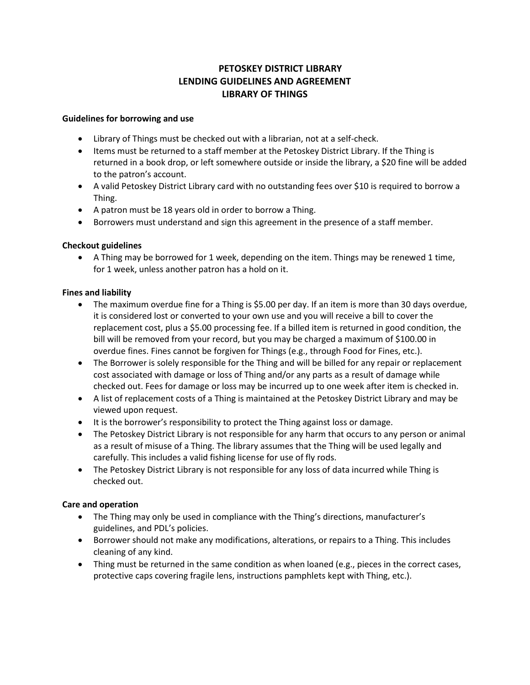# **PETOSKEY DISTRICT LIBRARY LENDING GUIDELINES AND AGREEMENT LIBRARY OF THINGS**

### **Guidelines for borrowing and use**

- Library of Things must be checked out with a librarian, not at a self-check.
- Items must be returned to a staff member at the Petoskey District Library. If the Thing is returned in a book drop, or left somewhere outside or inside the library, a \$20 fine will be added to the patron's account.
- A valid Petoskey District Library card with no outstanding fees over \$10 is required to borrow a Thing.
- A patron must be 18 years old in order to borrow a Thing.
- Borrowers must understand and sign this agreement in the presence of a staff member.

## **Checkout guidelines**

 A Thing may be borrowed for 1 week, depending on the item. Things may be renewed 1 time, for 1 week, unless another patron has a hold on it.

### **Fines and liability**

- The maximum overdue fine for a Thing is \$5.00 per day. If an item is more than 30 days overdue, it is considered lost or converted to your own use and you will receive a bill to cover the replacement cost, plus a \$5.00 processing fee. If a billed item is returned in good condition, the bill will be removed from your record, but you may be charged a maximum of \$100.00 in overdue fines. Fines cannot be forgiven for Things (e.g., through Food for Fines, etc.).
- The Borrower is solely responsible for the Thing and will be billed for any repair or replacement cost associated with damage or loss of Thing and/or any parts as a result of damage while checked out. Fees for damage or loss may be incurred up to one week after item is checked in.
- A list of replacement costs of a Thing is maintained at the Petoskey District Library and may be viewed upon request.
- It is the borrower's responsibility to protect the Thing against loss or damage.
- The Petoskey District Library is not responsible for any harm that occurs to any person or animal as a result of misuse of a Thing. The library assumes that the Thing will be used legally and carefully. This includes a valid fishing license for use of fly rods.
- The Petoskey District Library is not responsible for any loss of data incurred while Thing is checked out.

## **Care and operation**

- The Thing may only be used in compliance with the Thing's directions, manufacturer's guidelines, and PDL's policies.
- Borrower should not make any modifications, alterations, or repairs to a Thing. This includes cleaning of any kind.
- Thing must be returned in the same condition as when loaned (e.g., pieces in the correct cases, protective caps covering fragile lens, instructions pamphlets kept with Thing, etc.).